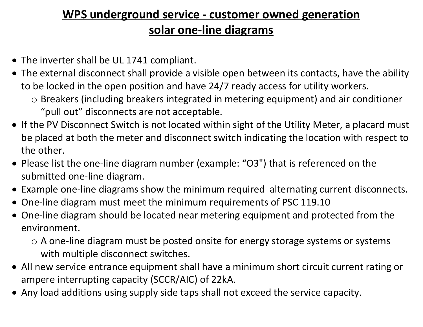## WPS underground service - customer owned generation solar one-line diagrams

- The inverter shall be UL 1741 compliant.
- The external disconnect shall provide a visible open between its contacts, have the ability to be locked in the open position and have 24/7 ready access for utility workers.
	- o Breakers (including breakers integrated in metering equipment) and air conditioner "pull out" disconnects are not acceptable.
- If the PV Disconnect Switch is not located within sight of the Utility Meter, a placard must be placed at both the meter and disconnect switch indicating the location with respect to the other.
- Please list the one-line diagram number (example: "O3") that is referenced on the submitted one-line diagram.
- Example one-line diagrams show the minimum required alternating current disconnects.
- One-line diagram must meet the minimum requirements of PSC 119.10
- One-line diagram should be located near metering equipment and protected from the environment.
	- o A one-line diagram must be posted onsite for energy storage systems or systems with multiple disconnect switches.
- All new service entrance equipment shall have a minimum short circuit current rating or ampere interrupting capacity (SCCR/AIC) of 22kA.
- Any load additions using supply side taps shall not exceed the service capacity.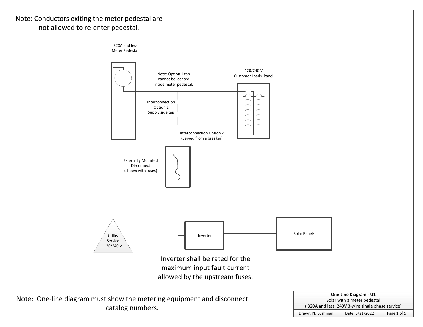## Note: Conductors exiting the meter pedestal are not allowed to re-enter pedestal.

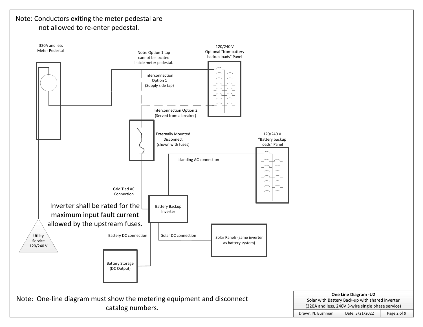## Note: Conductors exiting the meter pedestal are not allowed to re-enter pedestal.

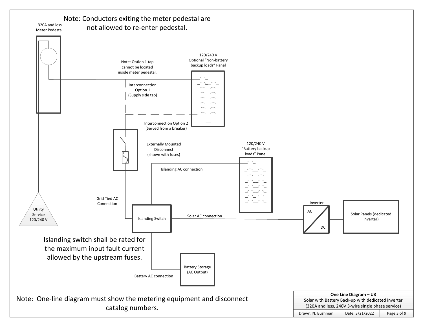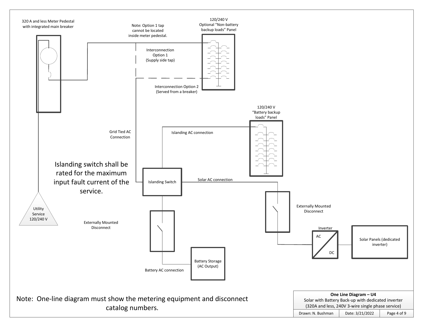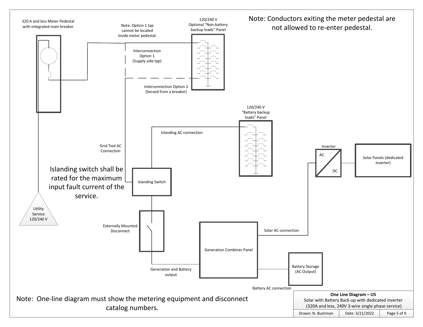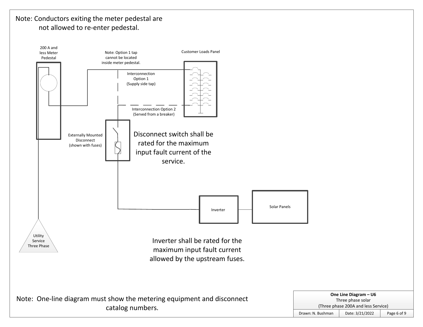## Note: Conductors exiting the meter pedestal are not allowed to re-enter pedestal.

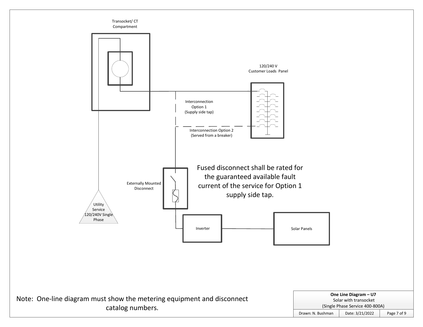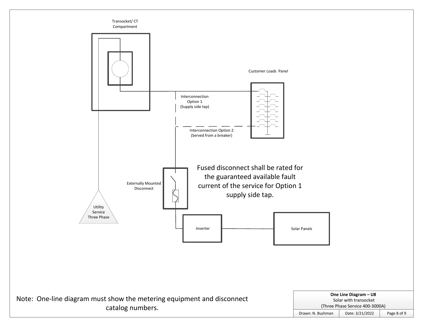